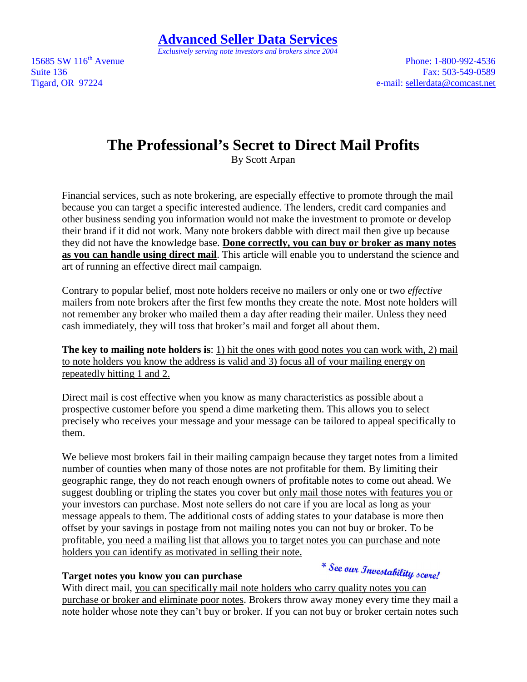15685 SW 116<sup>th</sup> Avenue Phone: 1-800-992-4536 Suite 136 Fax: 503-549-0589 Tigard, OR 97224 e-mail: sellerdata@comcast.net

# **The Professional's Secret to Direct Mail Profits**

By Scott Arpan

Financial services, such as note brokering, are especially effective to promote through the mail because you can target a specific interested audience. The lenders, credit card companies and other business sending you information would not make the investment to promote or develop their brand if it did not work. Many note brokers dabble with direct mail then give up because they did not have the knowledge base. **Done correctly, you can buy or broker as many notes as you can handle using direct mail**. This article will enable you to understand the science and art of running an effective direct mail campaign.

Contrary to popular belief, most note holders receive no mailers or only one or two *effective* mailers from note brokers after the first few months they create the note. Most note holders will not remember any broker who mailed them a day after reading their mailer. Unless they need cash immediately, they will toss that broker's mail and forget all about them.

**The key to mailing note holders is**: 1) hit the ones with good notes you can work with, 2) mail to note holders you know the address is valid and 3) focus all of your mailing energy on repeatedly hitting 1 and 2.

Direct mail is cost effective when you know as many characteristics as possible about a prospective customer before you spend a dime marketing them. This allows you to select precisely who receives your message and your message can be tailored to appeal specifically to them.

We believe most brokers fail in their mailing campaign because they target notes from a limited number of counties when many of those notes are not profitable for them. By limiting their geographic range, they do not reach enough owners of profitable notes to come out ahead. We suggest doubling or tripling the states you cover but only mail those notes with features you or your investors can purchase. Most note sellers do not care if you are local as long as your message appeals to them. The additional costs of adding states to your database is more then offset by your savings in postage from not mailing notes you can not buy or broker. To be profitable, you need a mailing list that allows you to target notes you can purchase and note holders you can identify as motivated in selling their note.

## **Target notes you know you can purchase**

\* See our Investability score!

With direct mail, you can specifically mail note holders who carry quality notes you can purchase or broker and eliminate poor notes. Brokers throw away money every time they mail a note holder whose note they can't buy or broker. If you can not buy or broker certain notes such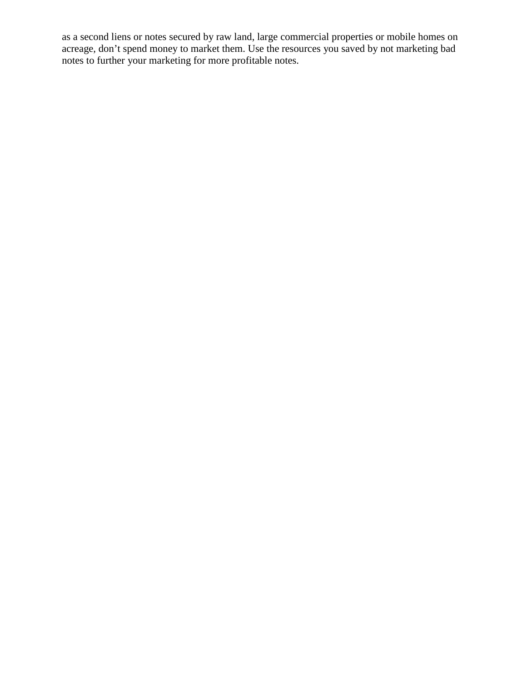as a second liens or notes secured by raw land, large commercial properties or mobile homes on acreage, don't spend money to market them. Use the resources you saved by not marketing bad notes to further your marketing for more profitable notes.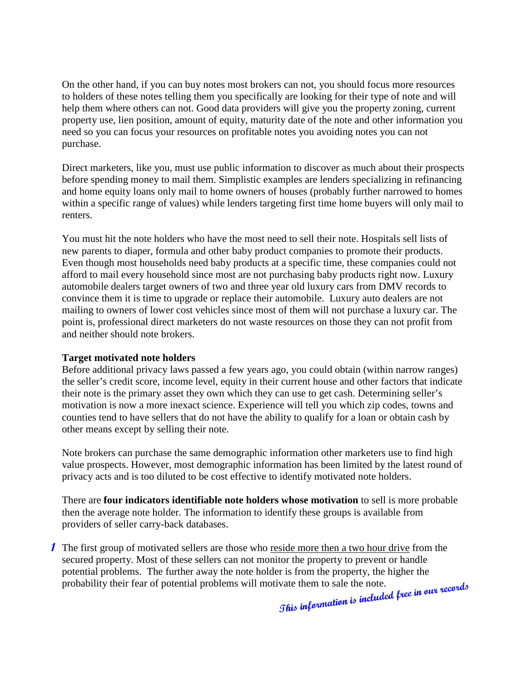On the other hand, if you can buy notes most brokers can not, you should focus more resources to holders of these notes telling them you specifically are looking for their type of note and will help them where others can not. Good data providers will give you the property zoning, current property use, lien position, amount of equity, maturity date of the note and other information you need so you can focus your resources on profitable notes you avoiding notes you can not purchase.

Direct marketers, like you, must use public information to discover as much about their prospects before spending money to mail them. Simplistic examples are lenders specializing in refinancing and home equity loans only mail to home owners of houses (probably further narrowed to homes within a specific range of values) while lenders targeting first time home buyers will only mail to renters.

You must hit the note holders who have the most need to sell their note. Hospitals sell lists of new parents to diaper, formula and other baby product companies to promote their products. Even though most households need baby products at a specific time, these companies could not afford to mail every household since most are not purchasing baby products right now. Luxury automobile dealers target owners of two and three year old luxury cars from DMV records to convince them it is time to upgrade or replace their automobile. Luxury auto dealers are not mailing to owners of lower cost vehicles since most of them will not purchase a luxury car. The point is, professional direct marketers do not waste resources on those they can not profit from and neither should note brokers.

#### **Target motivated note holders**

Before additional privacy laws passed a few years ago, you could obtain (within narrow ranges) the seller's credit score, income level, equity in their current house and other factors that indicate their note is the primary asset they own which they can use to get cash. Determining seller's motivation is now a more inexact science. Experience will tell you which zip codes, towns and counties tend to have sellers that do not have the ability to qualify for a loan or obtain cash by other means except by selling their note.

Note brokers can purchase the same demographic information other marketers use to find high value prospects. However, most demographic information has been limited by the latest round of privacy acts and is too diluted to be cost effective to identify motivated note holders.

There are **four indicators identifiable note holders whose motivation** to sell is more probable then the average note holder. The information to identify these groups is available from providers of seller carry-back databases.

**1** The first group of motivated sellers are those who reside more then a two hour drive from the secured property. Most of these sellers can not monitor the property to prevent or handle potential problems. The further away the note holder is from the property, the higher the probability their fear of potential problems will motivate them to sale the note.<br>
The function of the probability their fear of pot probability their fear of potential problems will motivate them to sale the note.